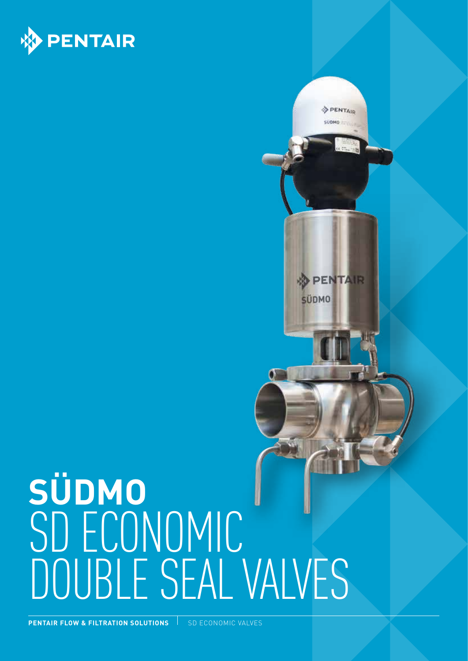

## **SÜDMO**  SD ECONOMIC DOUBLE SEAL VALVES

PENTAIR SÚDMO TITULI

**& PENTAIR** 

**SÜDMO** 

Ő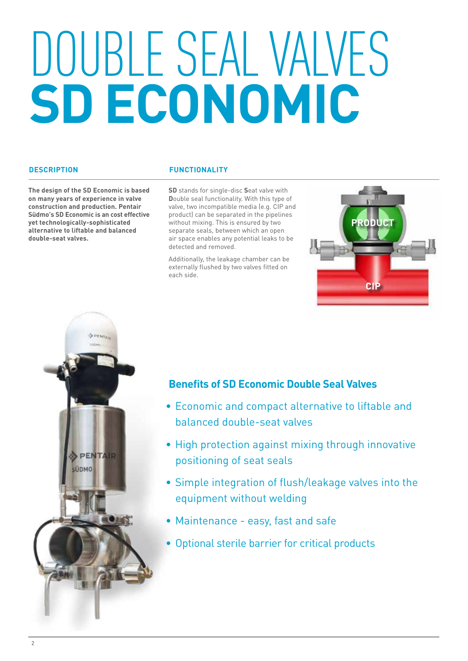# DOUBLE SEAL VALVES **SD ECONOMIC**

#### **DESCRIPTION**

**The design of the SD Economic is based on many years of experience in valve construction and production. Pentair Südmo's SD Economic is an cost effective yet technologically-sophisticated alternative to liftable and balanced double-seat valves.** 

### **FUNCTIONALITY**

**SD** stands for single-disc **S**eat valve with **D**ouble seal functionality. With this type of valve, two incompatible media (e.g. CIP and product) can be separated in the pipelines without mixing. This is ensured by two separate seals, between which an open air space enables any potential leaks to be detected and removed.

Additionally, the leakage chamber can be externally flushed by two valves fitted on each side.





## **Benefits of SD Economic Double Seal Valves**

- Economic and compact alternative to liftable and balanced double-seat valves
- High protection against mixing through innovative positioning of seat seals
- Simple integration of flush/leakage valves into the equipment without welding
- Maintenance easy, fast and safe
- Optional sterile barrier for critical products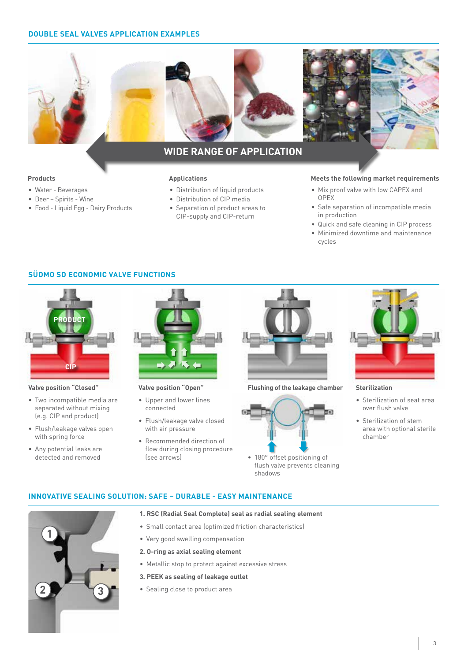#### **DOUBLE SEAL VALVES APPLICATION EXAMPLES**



## **WIDE RANGE OF APPLICATION**

- Water Beverages
- Beer Spirits Wine
- Food Liquid Egg Dairy Products

- Distribution of liquid products
- Distribution of CIP media
- Separation of product areas to CIP-supply and CIP-return

#### **Products Applications Meets the following market requirements**

- Mix proof valve with low CAPEX and OPEX
- Safe separation of incompatible media in production
- Quick and safe cleaning in CIP process
- Minimized downtime and maintenance cycles

#### **SÜDMO SD ECONOMIC VALVE FUNCTIONS**



#### **Valve position "Closed"**

- Two incompatible media are separated without mixing (e.g. CIP and product)
- Flush/leakage valves open with spring force
- Any potential leaks are detected and removed



**Valve position "Open"**

**INNOVATIVE SEALING SOLUTION: SAFE – DURABLE - EASY MAINTENANCE**

- Upper and lower lines connected
- Flush/leakage valve closed with air pressure
- Recommended direction of flow during closing procedure (see arrows)



#### **Flushing of the leakage chamber Sterilization**



• 180° offset positioning of flush valve prevents cleaning shadows



- Sterilization of seat area over flush valve
- Sterilization of stem area with optional sterile chamber



- **1. RSC (Radial Seal Complete) seal as radial sealing element**
- Small contact area (optimized friction characteristics)
- Very good swelling compensation
- **2. O-ring as axial sealing element**
- Metallic stop to protect against excessive stress
- **3. PEEK as sealing of leakage outlet**
- Sealing close to product area